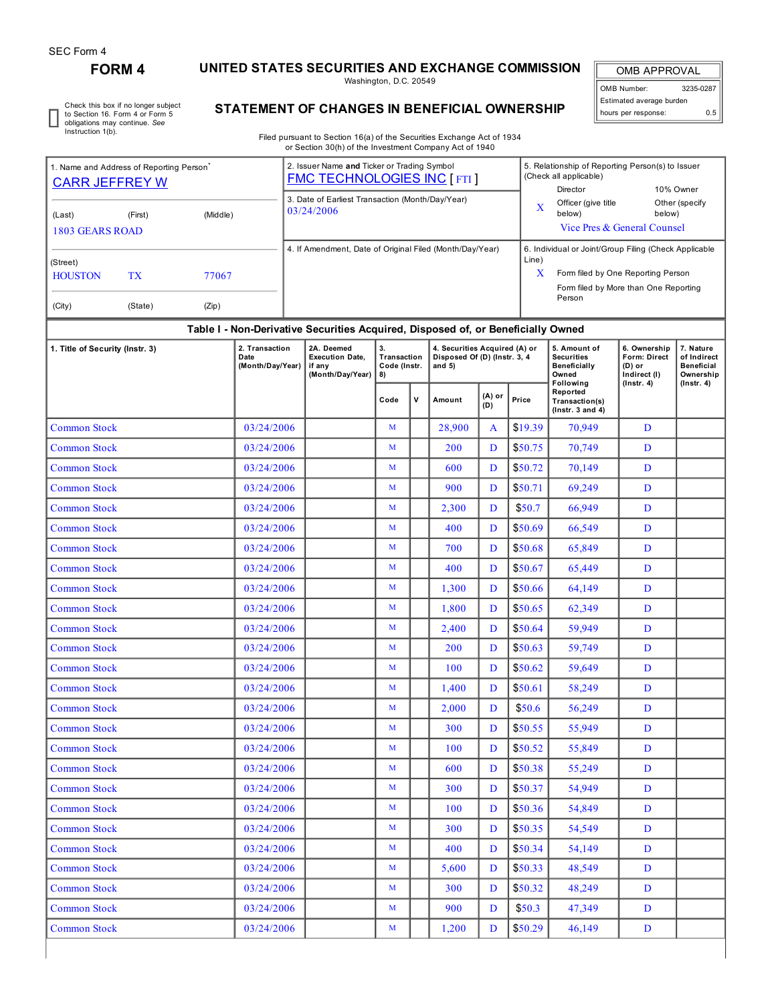## **FORM 4 UNITED STATES SECURITIES AND EXCHANGE COMMISSION**

Washington, D.C. 20549

OMB APPROVAL OMB Number: 3235-0287 Estimated average burden hours per response: 0.5

٦

Check this box if no longer subject to Section 16. Form 4 or Form 5 obligations may continue. *See* Instruction 1(b).

## **STATEMENT OF CHANGES IN BENEFICIAL OWNERSHIP**

Filed pursuant to Section 16(a) of the Securities Exchange Act of 1934 or Section 30(h) of the Investment Company Act of 1940

| 1. Name and Address of Reporting Person <sup>®</sup><br><b>CARR JEFFREY W</b>    |         |       |                                                          |                                                                    | 2. Issuer Name and Ticker or Trading Symbol<br><b>FMC TECHNOLOGIES INC [FTI]</b> |              |                                                                           |                                                       |               | 5. Relationship of Reporting Person(s) to Issuer<br>(Check all applicable)<br>Director<br>10% Owner |                                                                                   |                                                                                |  |  |
|----------------------------------------------------------------------------------|---------|-------|----------------------------------------------------------|--------------------------------------------------------------------|----------------------------------------------------------------------------------|--------------|---------------------------------------------------------------------------|-------------------------------------------------------|---------------|-----------------------------------------------------------------------------------------------------|-----------------------------------------------------------------------------------|--------------------------------------------------------------------------------|--|--|
| (First)<br>(Middle)<br>(Last)                                                    |         |       |                                                          |                                                                    | 3. Date of Earliest Transaction (Month/Day/Year)<br>03/24/2006                   |              |                                                                           |                                                       | X             | Officer (give title<br>below)                                                                       | below)                                                                            | Other (specify                                                                 |  |  |
| <b>1803 GEARS ROAD</b>                                                           |         |       |                                                          |                                                                    |                                                                                  |              |                                                                           | Vice Pres & General Counsel                           |               |                                                                                                     |                                                                                   |                                                                                |  |  |
| (Street)                                                                         |         |       | 4. If Amendment, Date of Original Filed (Month/Day/Year) |                                                                    |                                                                                  |              | Line)                                                                     | 6. Individual or Joint/Group Filing (Check Applicable |               |                                                                                                     |                                                                                   |                                                                                |  |  |
| <b>HOUSTON</b><br>TX<br>77067                                                    |         |       |                                                          |                                                                    |                                                                                  |              |                                                                           |                                                       | X             | Form filed by One Reporting Person                                                                  |                                                                                   |                                                                                |  |  |
| (City)                                                                           | (State) | (Zip) |                                                          |                                                                    |                                                                                  |              |                                                                           |                                                       |               | Form filed by More than One Reporting<br>Person                                                     |                                                                                   |                                                                                |  |  |
| Table I - Non-Derivative Securities Acquired, Disposed of, or Beneficially Owned |         |       |                                                          |                                                                    |                                                                                  |              |                                                                           |                                                       |               |                                                                                                     |                                                                                   |                                                                                |  |  |
| 2. Transaction<br>1. Title of Security (Instr. 3)<br>Date<br>(Month/Day/Year)    |         |       |                                                          | 2A. Deemed<br><b>Execution Date,</b><br>if any<br>(Month/Day/Year) | 3.<br>Transaction<br>Code (Instr.<br>8)                                          |              | 4. Securities Acquired (A) or<br>Disposed Of (D) (Instr. 3, 4<br>and $5)$ |                                                       |               | 5. Amount of<br><b>Securities</b><br><b>Beneficially</b><br>Owned<br>Following                      | 6. Ownership<br><b>Form: Direct</b><br>(D) or<br>Indirect (I)<br>$($ Instr. 4 $)$ | 7. Nature<br>of Indirect<br><b>Beneficial</b><br>Ownership<br>$($ lnstr. 4 $)$ |  |  |
|                                                                                  |         |       |                                                          |                                                                    |                                                                                  | Code         | v                                                                         | Amount                                                | (A) or<br>(D) | Price                                                                                               | Reported<br>Transaction(s)<br>$($ Instr. 3 and 4 $)$                              |                                                                                |  |  |
| <b>Common Stock</b>                                                              |         |       | 03/24/2006                                               |                                                                    |                                                                                  | M            |                                                                           | 28,900                                                | A             | \$19.39                                                                                             | 70,949                                                                            | D                                                                              |  |  |
| <b>Common Stock</b>                                                              |         |       | 03/24/2006                                               |                                                                    |                                                                                  | M            |                                                                           | 200                                                   | D             | \$50.75                                                                                             | 70,749                                                                            | D                                                                              |  |  |
| <b>Common Stock</b>                                                              |         |       | 03/24/2006                                               |                                                                    |                                                                                  | М            |                                                                           | 600                                                   | D             | \$50.72                                                                                             | 70,149                                                                            | D                                                                              |  |  |
| <b>Common Stock</b>                                                              |         |       | 03/24/2006                                               |                                                                    |                                                                                  | М            |                                                                           | 900                                                   | D             | \$50.71                                                                                             | 69,249                                                                            | D                                                                              |  |  |
| <b>Common Stock</b>                                                              |         |       | 03/24/2006                                               |                                                                    |                                                                                  | М            |                                                                           | 2,300                                                 | D             | \$50.7                                                                                              | 66,949                                                                            | D                                                                              |  |  |
| <b>Common Stock</b>                                                              |         |       | 03/24/2006                                               |                                                                    |                                                                                  | M            |                                                                           | 400                                                   | D             | \$50.69                                                                                             | 66,549                                                                            | D                                                                              |  |  |
| <b>Common Stock</b>                                                              |         |       | 03/24/2006                                               |                                                                    |                                                                                  | М            |                                                                           | 700                                                   | D             | \$50.68                                                                                             | 65,849                                                                            | D                                                                              |  |  |
| <b>Common Stock</b>                                                              |         |       | 03/24/2006                                               |                                                                    |                                                                                  | М            |                                                                           | 400                                                   | D             | \$50.67                                                                                             | 65,449                                                                            | D                                                                              |  |  |
| <b>Common Stock</b>                                                              |         |       | 03/24/2006                                               |                                                                    |                                                                                  | M            |                                                                           | 1,300                                                 | D             | \$50.66                                                                                             | 64,149                                                                            | D                                                                              |  |  |
| <b>Common Stock</b>                                                              |         |       | 03/24/2006                                               |                                                                    |                                                                                  | M            |                                                                           | 1,800                                                 | D             | \$50.65                                                                                             | 62,349                                                                            | D                                                                              |  |  |
| <b>Common Stock</b>                                                              |         |       | 03/24/2006                                               |                                                                    |                                                                                  | М            |                                                                           | 2,400                                                 | D             | \$50.64                                                                                             | 59,949                                                                            | D                                                                              |  |  |
| <b>Common Stock</b>                                                              |         |       | 03/24/2006                                               |                                                                    |                                                                                  | М            |                                                                           | 200                                                   | D             | \$50.63                                                                                             | 59,749                                                                            | D                                                                              |  |  |
| <b>Common Stock</b>                                                              |         |       | 03/24/2006                                               |                                                                    |                                                                                  | M            |                                                                           | 100                                                   | D             | \$50.62                                                                                             | 59,649                                                                            | D                                                                              |  |  |
| <b>Common Stock</b>                                                              |         |       | 03/24/2006                                               |                                                                    |                                                                                  | M            |                                                                           | 1,400                                                 | D             | \$50.61                                                                                             | 58,249                                                                            | D                                                                              |  |  |
| <b>Common Stock</b>                                                              |         |       | 03/24/2006                                               |                                                                    |                                                                                  | M            |                                                                           | 2,000                                                 | D             | \$50.6                                                                                              | 56,249                                                                            | D                                                                              |  |  |
| <b>Common Stock</b>                                                              |         |       | 03/24/2006                                               |                                                                    |                                                                                  | M            |                                                                           | 300                                                   | D             | \$50.55                                                                                             | 55,949                                                                            | $\mathbf D$                                                                    |  |  |
| <b>Common Stock</b>                                                              |         |       | 03/24/2006                                               |                                                                    |                                                                                  | $\mathbf{M}$ |                                                                           | 100                                                   | D             | \$50.52                                                                                             | 55,849                                                                            | D                                                                              |  |  |
| <b>Common Stock</b>                                                              |         |       | 03/24/2006                                               |                                                                    |                                                                                  | M            |                                                                           | 600                                                   | D             | \$50.38                                                                                             | 55,249                                                                            | D                                                                              |  |  |
| <b>Common Stock</b>                                                              |         |       | 03/24/2006                                               |                                                                    |                                                                                  | M            |                                                                           | 300                                                   | D             | \$50.37                                                                                             | 54,949                                                                            | D                                                                              |  |  |
| <b>Common Stock</b>                                                              |         |       | 03/24/2006                                               |                                                                    |                                                                                  | M            |                                                                           | 100                                                   | D             | \$50.36                                                                                             | 54,849                                                                            | D                                                                              |  |  |
| <b>Common Stock</b>                                                              |         |       | 03/24/2006                                               |                                                                    |                                                                                  | $\mathbf M$  |                                                                           | 300                                                   | D             | \$50.35                                                                                             | 54,549                                                                            | D                                                                              |  |  |
| <b>Common Stock</b>                                                              |         |       | 03/24/2006                                               |                                                                    |                                                                                  | M            |                                                                           | 400                                                   | D             | \$50.34                                                                                             | 54,149                                                                            | D                                                                              |  |  |
| <b>Common Stock</b>                                                              |         |       | 03/24/2006                                               |                                                                    |                                                                                  | M            |                                                                           | 5,600                                                 | D             | \$50.33                                                                                             | 48,549                                                                            | D                                                                              |  |  |
| <b>Common Stock</b>                                                              |         |       | 03/24/2006                                               |                                                                    |                                                                                  | M            |                                                                           | 300                                                   | D             | \$50.32                                                                                             | 48,249                                                                            | D                                                                              |  |  |
| <b>Common Stock</b>                                                              |         |       | 03/24/2006                                               |                                                                    |                                                                                  | M            |                                                                           | 900                                                   | D             | \$50.3\$                                                                                            | 47,349                                                                            | D                                                                              |  |  |
| <b>Common Stock</b>                                                              |         |       | 03/24/2006                                               |                                                                    |                                                                                  | M            |                                                                           | 1,200                                                 | D             | \$50.29                                                                                             | 46,149                                                                            | D                                                                              |  |  |
|                                                                                  |         |       |                                                          |                                                                    |                                                                                  |              |                                                                           |                                                       |               |                                                                                                     |                                                                                   |                                                                                |  |  |